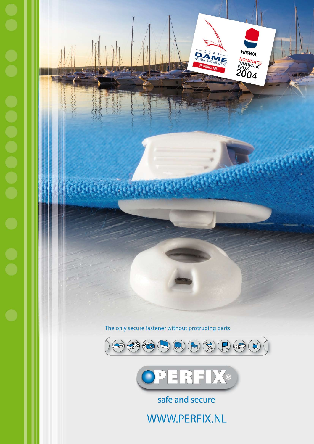







safe and secure

WWW.PERFIX.NL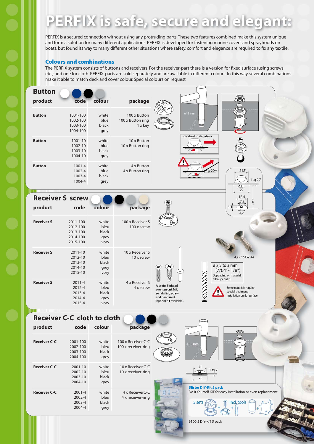# PERFIX is safe, secure and elegant:

PERFIX is a secured connection without using any protruding parts. These two features combined make this system unique and form a solution for many different applications. PERFIX is developed for fastening marine covers and sprayhoods on boats, but found its way to many different other situations where safety, comfort and elegance are required to fix any textile.

#### Colours and combinations

The PERFIX system consists of buttons and receivers. For the receiver-part there is a version for fixed surface (using screws etc.) and one for cloth. PERFIX-parts are sold separately and are available in different colours. In this way, several combinations make it able to match deck and cover colour. Special colours on request